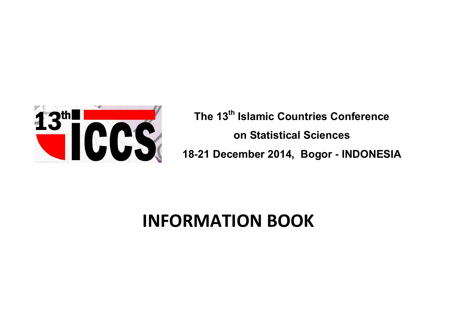

**The 13th Islamic Countries Conference on Statistical Sciences 18-21 December 2014, Bogor - INDONESIA**

# **INFORMATION BOOK**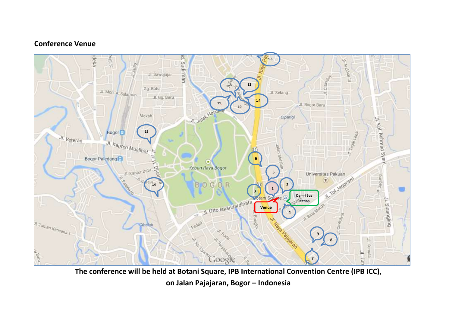## **Conference Venue**



**on Jalan Pajajaran, Bogor – Indonesia**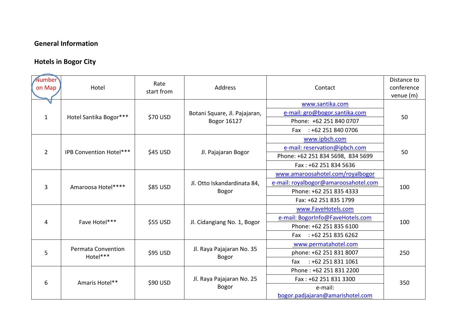# **General Information**

# **Hotels in Bogor City**

| on Map         | Hotel                          | Rate<br>start from | Address                                      | Contact                              | Distance to<br>conference<br>venue (m) |
|----------------|--------------------------------|--------------------|----------------------------------------------|--------------------------------------|----------------------------------------|
|                |                                |                    |                                              | www.santika.com                      |                                        |
| $\mathbf{1}$   | Hotel Santika Bogor***         | \$70 USD           | Botani Square, Jl. Pajajaran,<br>Bogor 16127 | e-mail: gro@bogor.santika.com        | 50                                     |
|                |                                |                    |                                              | Phone: +62 251 840 0707              |                                        |
|                |                                |                    |                                              | Fax : +62 251 840 0706               |                                        |
| $\overline{2}$ | IPB Convention Hotel***        | \$45 USD           | Jl. Pajajaran Bogor                          | www.ipbch.com                        | 50                                     |
|                |                                |                    |                                              | e-mail: reservation@ipbch.com        |                                        |
|                |                                |                    |                                              | Phone: +62 251 834 5698, 834 5699    |                                        |
|                |                                |                    |                                              | Fax: +62 251 834 5636                |                                        |
|                | Amaroosa Hotel****             | \$85 USD           | Jl. Otto Iskandardinata 84,<br>Bogor         | www.amaroosahotel.com/royalbogor     | 100                                    |
|                |                                |                    |                                              | e-mail: royalbogor@amaroosahotel.com |                                        |
| 3              |                                |                    |                                              | Phone: +62 251 835 4333              |                                        |
|                |                                |                    |                                              | Fax: +62 251 835 1799                |                                        |
|                | Fave Hotel***                  | \$55 USD           | Jl. Cidangiang No. 1, Bogor                  | www.FaveHotels.com                   | 100                                    |
|                |                                |                    |                                              | e-mail: BogorInfo@FaveHotels.com     |                                        |
| 4              |                                |                    |                                              | Phone: +62 251 835 6100              |                                        |
|                |                                |                    |                                              | Fax : +62 251 835 6262               |                                        |
| 5              | Permata Convention<br>Hotel*** | \$95 USD           | Jl. Raya Pajajaran No. 35<br><b>Bogor</b>    | www.permatahotel.com                 | 250                                    |
|                |                                |                    |                                              | phone: +62 251 831 8007              |                                        |
|                |                                |                    |                                              | $: +622518311061$<br>fax             |                                        |
| 6              | Amaris Hotel**                 | \$90 USD           | Jl. Raya Pajajaran No. 25<br>Bogor           | Phone: +62 251 831 2200              | 350                                    |
|                |                                |                    |                                              | Fax: +62 251 831 3300                |                                        |
|                |                                |                    |                                              | e-mail:                              |                                        |
|                |                                |                    |                                              | bogor.padjajaran@amarishotel.com     |                                        |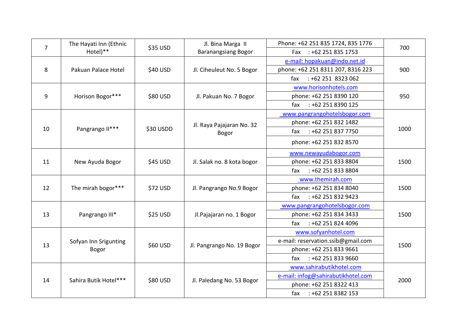| $\overline{7}$ | The Hayati Inn (Ethnic<br>Hotel)** | \$35 USD  | Jl. Bina Marga II<br><b>Baranangsiang Bogor</b> | Phone: +62 251 835 1724, 835 1776  | 700  |
|----------------|------------------------------------|-----------|-------------------------------------------------|------------------------------------|------|
|                |                                    |           |                                                 | Fax : +62 251 835 1753             |      |
| 8              | Pakuan Palace Hotel                | \$40 USD  | Jl. Ciheuleut No. 5 Bogor                       | e-mail: hopakuan@indo.net.id       | 900  |
|                |                                    |           |                                                 | phone: +62 251 8311 207, 8316 223  |      |
|                |                                    |           |                                                 | $: +622518323062$<br>fax           |      |
| 9              | Horison Bogor***                   | \$80 USD  | Jl. Pakuan No. 7 Bogor                          | www.horisonhotels.com              | 950  |
|                |                                    |           |                                                 | phone: +62 251 8390 120            |      |
|                |                                    |           |                                                 | $: +622518390125$<br>fax           |      |
|                | Pangrango II***                    | \$30 USDD | Jl. Raya Pajajaran No. 32<br>Bogor              | www.pangrangohotelsbogor.com       | 1000 |
|                |                                    |           |                                                 | phone: +62 251 832 1482            |      |
| 10             |                                    |           |                                                 | : +62 251 837 7750<br>fax          |      |
|                |                                    |           |                                                 | phone: +62 251 832 8570            |      |
|                | New Ayuda Bogor                    | \$45 USD  | Jl. Salak no. 8 kota bogor                      | www.newayudabogor.com              | 1500 |
| 11             |                                    |           |                                                 | phone: +62 251 833 8804            |      |
|                |                                    |           |                                                 | $: +622518338804$<br>fax           |      |
|                | The mirah bogor***                 | \$72 USD  | Jl. Pangrango No.9 Bogor                        | www.themirah.com                   | 1500 |
| 12             |                                    |           |                                                 | phone: +62 251 834 8040            |      |
|                |                                    |           |                                                 | : +62 251 832 9423<br>fax          |      |
|                | Pangrango III*                     | \$25 USD  | Jl.Pajajaran no. 1 Bogor                        | www.pangrangohotelsbogor.com       | 1500 |
| 13             |                                    |           |                                                 | phone: +62 251 834 3433            |      |
|                |                                    |           |                                                 | $: +622518244096$<br>fax           |      |
| 13             | Sofyan Inn Srigunting<br>Bogor     | \$60 USD  | Jl. Pangrango No. 19 Bogor                      | www.sofyanhotel.com                | 1500 |
|                |                                    |           |                                                 | e-mail: reservation.ssib@gmail.com |      |
|                |                                    |           |                                                 | phone: +62 251 833 9661            |      |
|                |                                    |           |                                                 | $: +622518339660$<br>fax           |      |
| 14             | Sahira Butik Hotel***              | \$80 USD  | Jl. Paledang No. 53 Bogor                       | www.sahirabutikhotel.com           | 2000 |
|                |                                    |           |                                                 | e-mail: infog@sahirabutikhotel.com |      |
|                |                                    |           |                                                 | phone: +62 251 8322 413            |      |
|                |                                    |           |                                                 | : +62 251 8382 153<br>fax          |      |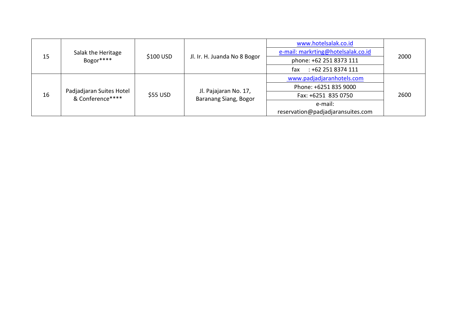| 15 | Salak the Heritage<br>Bogor****              | $$100$ USD | Jl. Ir. H. Juanda No 8 Bogor                   | www.hotelsalak.co.id               | 2000 |
|----|----------------------------------------------|------------|------------------------------------------------|------------------------------------|------|
|    |                                              |            |                                                | e-mail: markrting@hotelsalak.co.id |      |
|    |                                              |            |                                                | phone: +62 251 8373 111            |      |
|    |                                              |            |                                                | $: +622518374111$<br>fax           |      |
| 16 | Padjadjaran Suites Hotel<br>& Conference**** | \$55 USD   | Jl. Pajajaran No. 17,<br>Baranang Siang, Bogor | www.padjadjaranhotels.com          | 2600 |
|    |                                              |            |                                                | Phone: +6251 835 9000              |      |
|    |                                              |            |                                                | Fax: +6251 835 0750                |      |
|    |                                              |            |                                                | e-mail:                            |      |
|    |                                              |            |                                                | reservation@padjadjaransuites.com  |      |